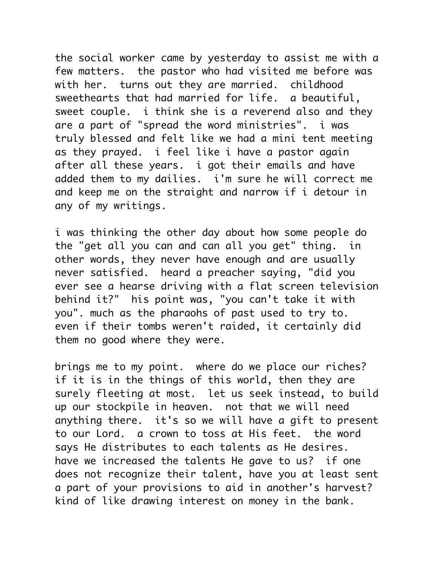the social worker came by yesterday to assist me with a few matters. the pastor who had visited me before was with her. turns out they are married. childhood sweethearts that had married for life. a beautiful, sweet couple. i think she is a reverend also and they are a part of "spread the word ministries". i was truly blessed and felt like we had a mini tent meeting as they prayed. i feel like i have a pastor again after all these years. i got their emails and have added them to my dailies. i'm sure he will correct me and keep me on the straight and narrow if i detour in any of my writings.

i was thinking the other day about how some people do the "get all you can and can all you get" thing. in other words, they never have enough and are usually never satisfied. heard a preacher saying, "did you ever see a hearse driving with a flat screen television behind it?" his point was, "you can't take it with you". much as the pharaohs of past used to try to. even if their tombs weren't raided, it certainly did them no good where they were.

brings me to my point. where do we place our riches? if it is in the things of this world, then they are surely fleeting at most. let us seek instead, to build up our stockpile in heaven. not that we will need anything there. it's so we will have a gift to present to our Lord. a crown to toss at His feet. the word says He distributes to each talents as He desires. have we increased the talents He gave to us? if one does not recognize their talent, have you at least sent a part of your provisions to aid in another's harvest? kind of like drawing interest on money in the bank.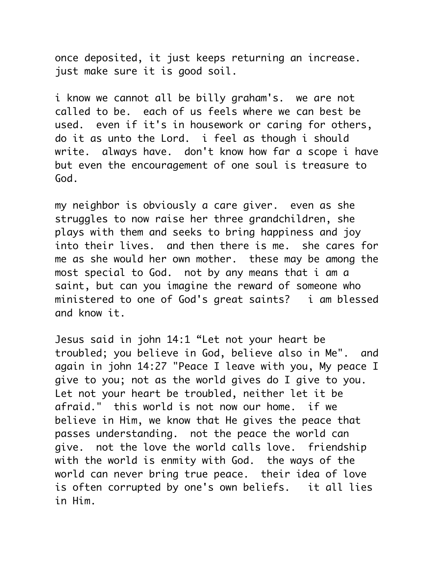once deposited, it just keeps returning an increase. just make sure it is good soil.

i know we cannot all be billy graham's. we are not called to be. each of us feels where we can best be used. even if it's in housework or caring for others, do it as unto the Lord. i feel as though i should write. always have. don't know how far a scope i have but even the encouragement of one soul is treasure to God.

my neighbor is obviously a care giver. even as she struggles to now raise her three grandchildren, she plays with them and seeks to bring happiness and joy into their lives. and then there is me. she cares for me as she would her own mother. these may be among the most special to God. not by any means that i am a saint, but can you imagine the reward of someone who ministered to one of God's great saints? i am blessed and know it.

Jesus said in john 14:1 "Let not your heart be troubled; you believe in God, believe also in Me". and again in john 14:27 "Peace I leave with you, My peace I give to you; not as the world gives do I give to you. Let not your heart be troubled, neither let it be afraid." this world is not now our home. if we believe in Him, we know that He gives the peace that passes understanding. not the peace the world can give. not the love the world calls love. friendship with the world is enmity with God. the ways of the world can never bring true peace. their idea of love is often corrupted by one's own beliefs. it all lies in Him.